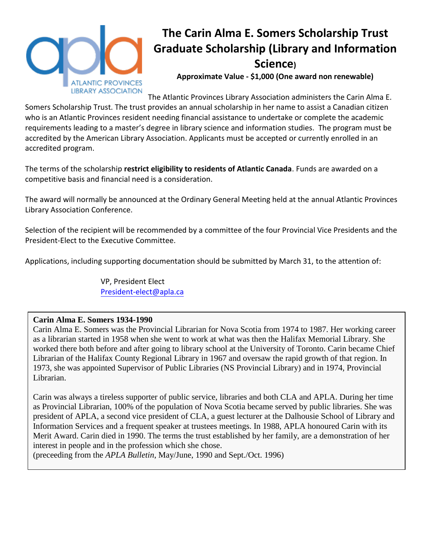

# **The Carin Alma E. Somers Scholarship Trust Graduate Scholarship (Library and Information Science)**

**Approximate Value - \$1,000 (One award non renewable)** 

The Atlantic Provinces Library Association administers the Carin Alma E. Somers Scholarship Trust. The trust provides an annual scholarship in her name to assist a Canadian citizen who is an Atlantic Provinces resident needing financial assistance to undertake or complete the academic requirements leading to a master's degree in library science and information studies. The program must be accredited by the American Library Association. Applicants must be accepted or currently enrolled in an accredited program.

The terms of the scholarship **restrict eligibility to residents of Atlantic Canada**. Funds are awarded on a competitive basis and financial need is a consideration.

The award will normally be announced at the Ordinary General Meeting held at the annual Atlantic Provinces Library Association Conference.

Selection of the recipient will be recommended by a committee of the four Provincial Vice Presidents and the President-Elect to the Executive Committee.

Applications, including supporting documentation should be submitted by March 31, to the attention of:

VP, President Elect [President-elect@apla.ca](mailto:President-elect@apla.ca)

### **Carin Alma E. Somers 1934-1990**

Carin Alma E. Somers was the Provincial Librarian for Nova Scotia from 1974 to 1987. Her working career as a librarian started in 1958 when she went to work at what was then the Halifax Memorial Library. She worked there both before and after going to library school at the University of Toronto. Carin became Chief Librarian of the Halifax County Regional Library in 1967 and oversaw the rapid growth of that region. In 1973, she was appointed Supervisor of Public Libraries (NS Provincial Library) and in 1974, Provincial Librarian.

Carin was always a tireless supporter of public service, libraries and both CLA and APLA. During her time as Provincial Librarian, 100% of the population of Nova Scotia became served by public libraries. She was president of APLA, a second vice president of CLA, a guest lecturer at the Dalhousie School of Library and Information Services and a frequent speaker at trustees meetings. In 1988, APLA honoured Carin with its Merit Award. Carin died in 1990. The terms the trust established by her family, are a demonstration of her interest in people and in the profession which she chose.

(preceeding from the *APLA Bulletin*, May/June, 1990 and Sept./Oct. 1996)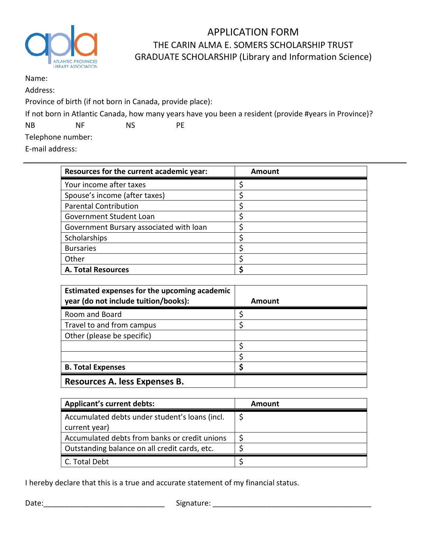

## APPLICATION FORM THE CARIN ALMA E. SOMERS SCHOLARSHIP TRUST GRADUATE SCHOLARSHIP (Library and Information Science)

#### Name:

Address:

Province of birth (if not born in Canada, provide place):

If not born in Atlantic Canada, how many years have you been a resident (provide #years in Province)?

NB NF NS PE

Telephone number:

E-mail address:

| Resources for the current academic year: | Amount |
|------------------------------------------|--------|
| Your income after taxes                  |        |
| Spouse's income (after taxes)            |        |
| <b>Parental Contribution</b>             |        |
| Government Student Loan                  |        |
| Government Bursary associated with loan  |        |
| Scholarships                             |        |
| <b>Bursaries</b>                         |        |
| Other                                    |        |
| <b>A. Total Resources</b>                |        |

| Estimated expenses for the upcoming academic<br>year (do not include tuition/books): | Amount |
|--------------------------------------------------------------------------------------|--------|
| Room and Board                                                                       |        |
| Travel to and from campus                                                            |        |
| Other (please be specific)                                                           |        |
|                                                                                      |        |
|                                                                                      |        |
| <b>B. Total Expenses</b>                                                             |        |
| Resources A. less Expenses B.                                                        |        |

| <b>Applicant's current debts:</b>              | Amount |
|------------------------------------------------|--------|
| Accumulated debts under student's loans (incl. |        |
| current year)                                  |        |
| Accumulated debts from banks or credit unions  |        |
| Outstanding balance on all credit cards, etc.  |        |
| C. Total Debt                                  |        |

I hereby declare that this is a true and accurate statement of my financial status.

Date:\_\_\_\_\_\_\_\_\_\_\_\_\_\_\_\_\_\_\_\_\_\_\_\_\_\_\_\_\_ Signature: \_\_\_\_\_\_\_\_\_\_\_\_\_\_\_\_\_\_\_\_\_\_\_\_\_\_\_\_\_\_\_\_\_\_\_\_\_\_